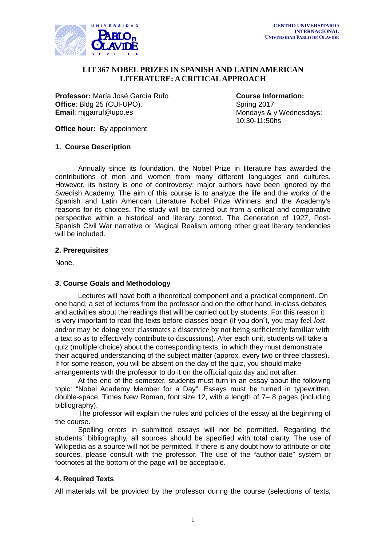

#### $\overline{a}$  **LIT 367 NOBEL PRIZES IN SPANISH AND LATIN AMERICAN LITERATURE: A CRITICAL APPROACH**

**Professor:** María José García Rufo<br> **Office**: Bldg 25 (CUI-UPO). **COURGE COURGE COURGE A** Spring 2017 **Office**: Bldg 25 (CUI-UPO).<br>**Email**: migarruf@upo.es

**Mondays & y Wednesdays:** 10:30-11:50hs

**Office hour:** By appoinment

### **1. Course Description**

Annually since its foundation, the Nobel Prize in literature has awarded the contributions of men and women from many different languages and cultures. However, its history is one of controversy: major authors have been ignored by the Swedish Academy. The aim of this course is to analyze the life and the works of the Spanish and Latin American Literature Nobel Prize Winners and the Academy's reasons for its choices. The study will be carried out from a critical and comparative perspective within a historical and literary context. The Generation of 1927, Post-Spanish Civil War narrative or Magical Realism among other great literary tendencies will be included.

### **2. Prerequisites**

None.

### **3. Course Goals and Methodology**

Lectures will have both a theoretical component and a practical component. On one hand, a set of lectures from the professor and on the other hand, in-class debates and activities about the readings that will be carried out by students. For this reason it is very important to read the texts before classes begin (if you don´t, you may feel *lost* and/or may be doing your classmates a disservice by not being sufficiently familiar with a text so as to effectively contribute to discussions). After each unit, students will take a quiz (multiple choice) about the corresponding texts, in which they must demonstrate their acquired understanding of the subject matter (approx. every two or three classes). If for some reason, you will be absent on the day of the quiz, you should make arrangements with the professor to do it on the official quiz day and not after.

At the end of the semester, students must turn in an essay about the following topic: "Nobel Academy Member for a Day". Essays must be turned in typewritten, double-space, Times New Roman, font size 12, with a length of 7– 8 pages (including bibliography).

The professor will explain the rules and policies of the essay at the beginning of the course.

Spelling errors in submitted essays will not be permitted. Regarding the students´ bibliography, all sources should be specified with total clarity. The use of Wikipedia as a source will not be permitted. If there is any doubt how to attribute or cite sources, please consult with the professor. The use of the "author-date" system or footnotes at the bottom of the page will be acceptable.

### **4. Required Texts**

All materials will be provided by the professor during the course (selections of texts,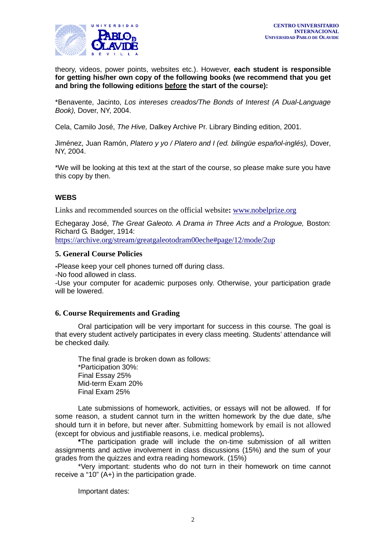

 theory, videos, power points, websites etc.). However, **each student is responsible for getting his/her own copy of the following books (we recommend that you get and bring the following editions before the start of the course):**

\*Benavente, Jacinto, *Los intereses creados/The Bonds of Interest (A Dual-Language Book),* Dover, NY, 2004.

Cela, Camilo José, *The Hive,* Dalkey Archive Pr. Library Binding edition, 2001.

Jiménez, Juan Ramón, *Platero y yo / Platero and I (ed. bilingüe español-inglés),* Dover, NY, 2004.

\*We will be looking at this text at the start of the course, so please make sure you have this copy by then.

### **WEBS**

Links and recommended sources on the official website**:** [www.nobelprize.org](http://www.nobelprize.org/)

Echegaray José, *The Great Galeoto. A Drama in Three Acts and a Prologue,* Boston: Richard G. Badger, 1914:

<https://archive.org/stream/greatgaleotodram00eche#page/12/mode/2up>

## **5. General Course Policies**

**-**Please keep your cell phones turned off during class.

-No food allowed in class.

-Use your computer for academic purposes only. Otherwise, your participation grade will be lowered.

### **6. Course Requirements and Grading**

Oral participation will be very important for success in this course. The goal is that every student actively participates in every class meeting. Students' attendance will be checked daily.

The final grade is broken down as follows: \*Participation 30%: Final Essay 25% Mid-term Exam 20% Final Exam 25%

Late submissions of homework, activities, or essays will not be allowed. If for some reason, a student cannot turn in the written homework by the due date, s/he should turn it in before, but never after. Submitting homework by email is not allowed (except for obvious and justifiable reasons, i.e. medical problems)**.**

**\***The participation grade will include the on-time submission of all written assignments and active involvement in class discussions (15%) and the sum of your grades from the quizzes and extra reading homework. (15%)

\*Very important: students who do not turn in their homework on time cannot receive a "10" (A+) in the participation grade.

Important dates: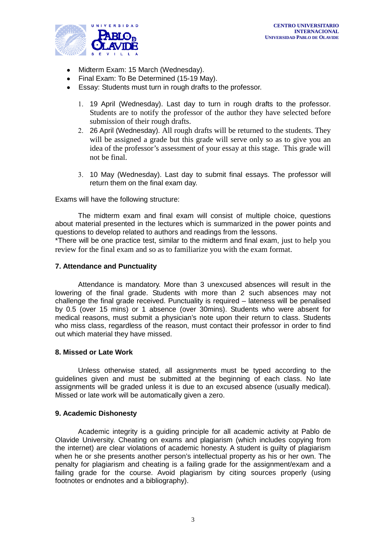

- Midterm Exam: 15 March (Wednesday).
- Final Exam: To Be Determined (15-19 May).
- Essay: Students must turn in rough drafts to the professor.
	- 1. 19 April (Wednesday). Last day to turn in rough drafts to the professor. Students are to notify the professor of the author they have selected before submission of their rough drafts.
	- 2. 26 April (Wednesday). All rough drafts will be returned to the students. They will be assigned a grade but this grade will serve only so as to give you an idea of the professor's assessment of your essay at this stage. This grade will not be final.
	- 3. 10 May (Wednesday). Last day to submit final essays. The professor will return them on the final exam day.

Exams will have the following structure:

The midterm exam and final exam will consist of multiple choice, questions about material presented in the lectures which is summarized in the power points and questions to develop related to authors and readings from the lessons.

\*There will be one practice test, similar to the midterm and final exam, just to help you review for the final exam and so as to familiarize you with the exam format.

### **7. Attendance and Punctuality**

Attendance is mandatory. More than 3 unexcused absences will result in the lowering of the final grade. Students with more than 2 such absences may not challenge the final grade received. Punctuality is required – lateness will be penalised by 0.5 (over 15 mins) or 1 absence (over 30mins). Students who were absent for medical reasons, must submit a physician's note upon their return to class. Students who miss class, regardless of the reason, must contact their professor in order to find out which material they have missed.

### **8. Missed or Late Work**

Unless otherwise stated, all assignments must be typed according to the guidelines given and must be submitted at the beginning of each class. No late assignments will be graded unless it is due to an excused absence (usually medical). Missed or late work will be automatically given a zero.

#### **9. Academic Dishonesty**

Academic integrity is a guiding principle for all academic activity at Pablo de Olavide University. Cheating on exams and plagiarism (which includes copying from the internet) are clear violations of academic honesty. A student is guilty of plagiarism when he or she presents another person's intellectual property as his or her own. The penalty for plagiarism and cheating is a failing grade for the assignment/exam and a failing grade for the course. Avoid plagiarism by citing sources properly (using footnotes or endnotes and a bibliography).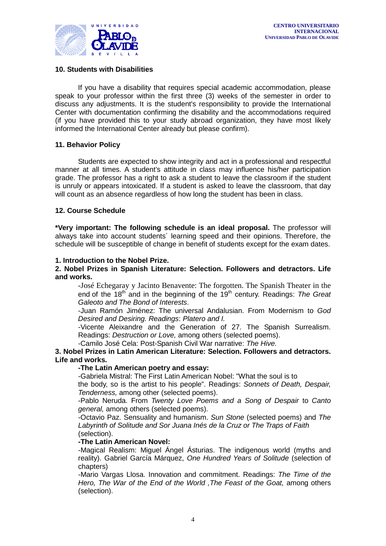

### **10. Students with Disabilities**

If you have a disability that requires special academic accommodation, please speak to your professor within the first three (3) weeks of the semester in order to discuss any adjustments. It is the student's responsibility to provide the International Center with documentation confirming the disability and the accommodations required (if you have provided this to your study abroad organization, they have most likely informed the International Center already but please confirm).

### **11. Behavior Policy**

Students are expected to show integrity and act in a professional and respectful manner at all times. A student's attitude in class may influence his/her participation grade. The professor has a right to ask a student to leave the classroom if the student is unruly or appears intoxicated. If a student is asked to leave the classroom, that day will count as an absence regardless of how long the student has been in class.

### **12. Course Schedule**

**\*Very important: The following schedule is an ideal proposal.** The professor will always take into account students´ learning speed and their opinions. Therefore, the schedule will be susceptible of change in benefit of students except for the exam dates.

### **1. Introduction to the Nobel Prize.**

### **2. Nobel Prizes in Spanish Literature: Selection. Followers and detractors. Life and works.**

-José Echegaray y Jacinto Benavente: The forgotten. The Spanish Theater in the end of the 18<sup>th</sup> and in the beginning of the 19<sup>th</sup> century. Readings: *The Great Galeoto and The Bond of Interests*.

-Juan Ramón Jiménez: The universal Andalusian. From Modernism to *God Desired and Desiring. Readings*: *Platero and I.*

*-*Vicente Aleixandre and the Generation of 27. The Spanish Surrealism. Readings: *Destruction or Love,* among others (selected poems).

-Camilo José Cela: Post-Spanish Civil War narrative: *The Hive.*

### **3. Nobel Prizes in Latin American Literature: Selection. Followers and detractors. Life and works.**

#### **-The Latin American poetry and essay:**

-Gabriela Mistral: The First Latin American Nobel: "What the soul is to

the body, so is the artist to his people". Readings: *Sonnets of Death, Despair, Tenderness,* among other (selected poems).

-Pablo Neruda. From *Twenty Love Poems and a Song of Despair* to *Canto general,* among others (selected poems).

-Octavio Paz. Sensuality and humanism. *Sun Stone* (selected poems) and *The Labyrinth of Solitude and Sor Juana Inés de la Cruz or The Traps of Faith* (selection).

#### **-The Latin American Novel:**

-Magical Realism: Miguel Ángel Ásturias. The indigenous world (myths and reality). Gabriel García Márquez, *One Hundred Years of Solitude* (selection of chapters)

-Mario Vargas Llosa. Innovation and commitment. Readings: *The Time of the Hero, The War of the End of the World ,The Feast of the Goat,* among others (selection).